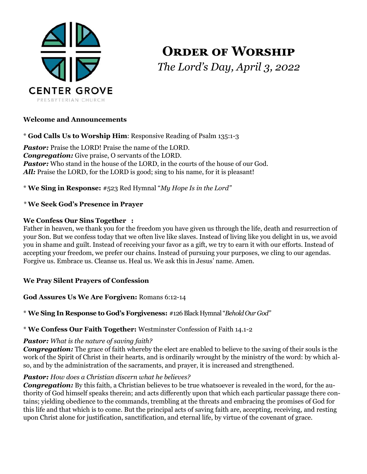

# **ORDER OF WORSHIP** *The Lord's Day, April 3, 2022*

# **Welcome and Announcements**

\* **God Calls Us to Worship Him**: Responsive Reading of Psalm 135:1-3

*Pastor:* Praise the LORD! Praise the name of the LORD. *Congregation:* Give praise, O servants of the LORD. **Pastor:** Who stand in the house of the LORD, in the courts of the house of our God. All: Praise the LORD, for the LORD is good; sing to his name, for it is pleasant!

\* **We Sing in Response:** #523 Red Hymnal "*My Hope Is in the Lord"*

# *\** **We Seek God's Presence in Prayer**

## **We Confess Our Sins Together :**

Father in heaven, we thank you for the freedom you have given us through the life, death and resurrection of your Son. But we confess today that we often live like slaves. Instead of living like you delight in us, we avoid you in shame and guilt. Instead of receiving your favor as a gift, we try to earn it with our efforts. Instead of accepting your freedom, we prefer our chains. Instead of pursuing your purposes, we cling to our agendas. Forgive us. Embrace us. Cleanse us. Heal us. We ask this in Jesus' name. Amen.

## **We Pray Silent Prayers of Confession**

# **God Assures Us We Are Forgiven:** Romans 6:12-14

\* **We Sing In Response to God's Forgiveness:** #126 Black Hymnal "*Behold Our God"*

## \* **We Confess Our Faith Together:** Westminster Confession of Faith 14.1-2

## *Pastor: What is the nature of saving faith?*

*Congregation:* The grace of faith whereby the elect are enabled to believe to the saving of their souls is the work of the Spirit of Christ in their hearts, and is ordinarily wrought by the ministry of the word: by which also, and by the administration of the sacraments, and prayer, it is increased and strengthened.

## *Pastor: How does a Christian discern what he believes?*

**Congregation:** By this faith, a Christian believes to be true whatsoever is revealed in the word, for the authority of God himself speaks therein; and acts differently upon that which each particular passage there contains; yielding obedience to the commands, trembling at the threats and embracing the promises of God for this life and that which is to come. But the principal acts of saving faith are, accepting, receiving, and resting upon Christ alone for justification, sanctification, and eternal life, by virtue of the covenant of grace.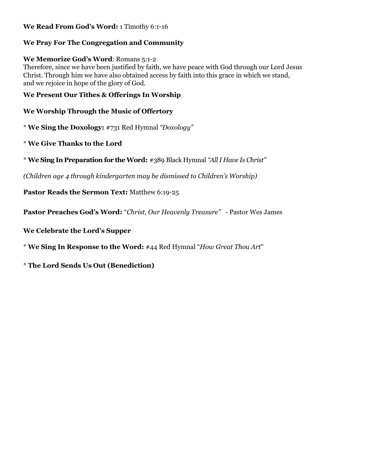# **We Read From God's Word:** 1 Timothy 6:1-16

# **We Pray For The Congregation and Community**

## **We Memorize God's Word**: Romans 5:1-2

Therefore, since we have been justified by faith, we have peace with God through our Lord Jesus Christ. Through him we have also obtained access by faith into this grace in which we stand, and we rejoice in hope of the glory of God.

# **We Present Our Tithes & Offerings In Worship**

# **We Worship Through the Music of Offertory**

\* **We Sing the Doxology:** #731 Red Hymnal *"Doxology"*

- \* **We Give Thanks to the Lord**
- \* **We Sing In Preparation for the Word:** #389 Black Hymnal *"All I Have Is Christ"*

*(Children age 4 through kindergarten may be dismissed to Children's Worship)*

**Pastor Reads the Sermon Text:** Matthew 6:19-25

**Pastor Preaches God's Word:** "*Christ, Our Heavenly Treasure" -* Pastor Wes James

**We Celebrate the Lord's Supper** 

\* **We Sing In Response to the Word:** #44 Red Hymnal "*How Great Thou Art*"

\* **The Lord Sends Us Out (Benediction)**